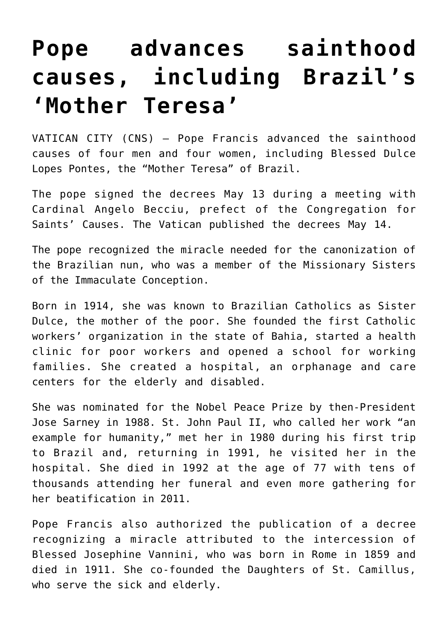## **[Pope advances sainthood](https://www.osvnews.com/2019/05/14/pope-advances-sainthood-causes-including-brazils-mother-teresa/) [causes, including Brazil's](https://www.osvnews.com/2019/05/14/pope-advances-sainthood-causes-including-brazils-mother-teresa/) ['Mother Teresa'](https://www.osvnews.com/2019/05/14/pope-advances-sainthood-causes-including-brazils-mother-teresa/)**

VATICAN CITY (CNS) — Pope Francis advanced the sainthood causes of four men and four women, including Blessed Dulce Lopes Pontes, the "Mother Teresa" of Brazil.

The pope signed the decrees May 13 during a meeting with Cardinal Angelo Becciu, prefect of the Congregation for Saints' Causes. The Vatican published the decrees May 14.

The pope recognized the miracle needed for the canonization of the Brazilian nun, who was a member of the Missionary Sisters of the Immaculate Conception.

Born in 1914, she was known to Brazilian Catholics as Sister Dulce, the mother of the poor. She founded the first Catholic workers' organization in the state of Bahia, started a health clinic for poor workers and opened a school for working families. She created a hospital, an orphanage and care centers for the elderly and disabled.

She was nominated for the Nobel Peace Prize by then-President Jose Sarney in 1988. St. John Paul II, who called her work "an example for humanity," met her in 1980 during his first trip to Brazil and, returning in 1991, he visited her in the hospital. She died in 1992 at the age of 77 with tens of thousands attending her funeral and even more gathering for her beatification in 2011.

Pope Francis also authorized the publication of a decree recognizing a miracle attributed to the intercession of Blessed Josephine Vannini, who was born in Rome in 1859 and died in 1911. She co-founded the Daughters of St. Camillus, who serve the sick and elderly.